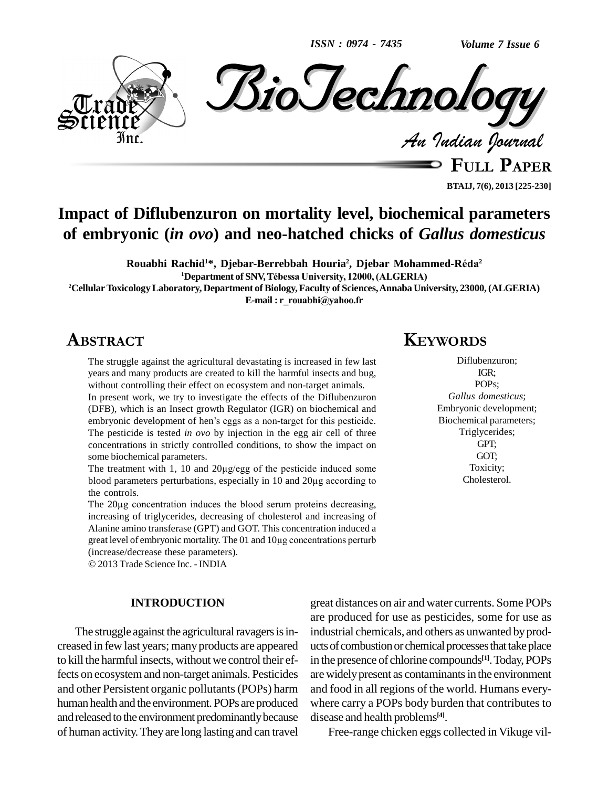*ISSN : 0974 - 7435*



**BTAIJ, 7(6), 2013 [225-230]**

# **Impact of Diflubenzuron on mortality level, biochemical parameters of embryonic (***in ovo***) and neo-hatched chicks of** *Gallus domesticus* **, Djebar Mohammed-RÈda**

**Rouabhi Rachid <sup>1</sup>\*, Djebar-Berrebbah Houria 2 2 <sup>1</sup>Department of SNV,TÈbessa University, 12000,(ALGERIA)**

**<sup>2</sup>CellularToxicologyLaboratory, Department of Biology,Faculty of Sciences,Annaba University, 23000, (ALGERIA)** <sup>1</sup>Department of SNV, Tébessa University, 12000, (ALGERIA)<br>ttory, Department of Biology, Faculty of Sciences, Annaba Uni<br>E-mail : r rouabhi@yahoo.fr

# **ABSTRACT**

The struggle against the agricultural devastating is increased in few last years and many products are created to kill the harmful insects and bug, without controlling their effect on ecosystem and non-target animals. In present work, we try to investigate the effects of the Diflubenzuron (DFB), which is an Insect growth Regulator (IGR) on biochemical and In present work, we try to investigate the effects of the Diflubenzuron (DFB), which is an Insect growth Regulator (IGR) on biochemical and embryonic development of hen's eggs as a non-target for this pesticide. The pesticide is tested *in ovo* by injection in the egg air cell of three concentrations in strictly controlled conditions, to show the impact on<br>some biochemical parameters.<br>The treatment with 1, 10 and 20µg/egg of the pesticide induced some some biochemical parameters.

some biochemical parameters.<br>The treatment with 1, 10 and 20µg/egg of the pesticide induced some<br>blood parameters perturbations, especially in 10 and 20µg according to the controls. blood parameters perturbations, especially in 10 and 20µg according to<br>the controls.<br>The 20µg concentration induces the blood serum proteins decreasing,

increasing of triglycerides, decreasing of cholesterol and increasing of Alanine amino transferase (GPT) and GOT. This concentration induced a increasing of triglycerides, decreasing of cholesterol and increasing of<br>Alanine amino transferase (GPT) and GOT. This concentration induced a<br>great level of embryonic mortality. The 01 and 10µg concentrations perturb great level of embryonic mortality. The 01 a (increase/decrease these parameters).

2013 Trade Science Inc. - INDIA

#### **INTRODUCTION**

The struggle against the agricultural ravagers is increased in few last years; manyproducts are appeared to kill the harmful insects, without we control their effects on ecosystemand non-target animals. Pesticides and other Persistent organic pollutants(POPs) harm human health and the environment.POPs are produced and released to the environment predominantly because of human activity.Theyare long lasting and can travel

# **KEYWORDS**

Diflubenzuron; IGR; POPs; *Gallus domesticus*; Embryonic development; Biochemical parameters; Triglycerides; GPT; GOT; Toxicity; Cholesterol.

great distances on air and water currents. Some POPs are produced for use as pesticides, some for use as industrial chemicals, and others as unwanted by products of combustion or chemical processes that take place in the presence of chlorine compounds **[1]**.Today, POPs are widely present as contaminants in the environment and food in all regions of the world. Humans every where carry a POPs body burden that contributes to disease and health problems **[4]**.

Free-range chicken eggs collected in Vikuge vil-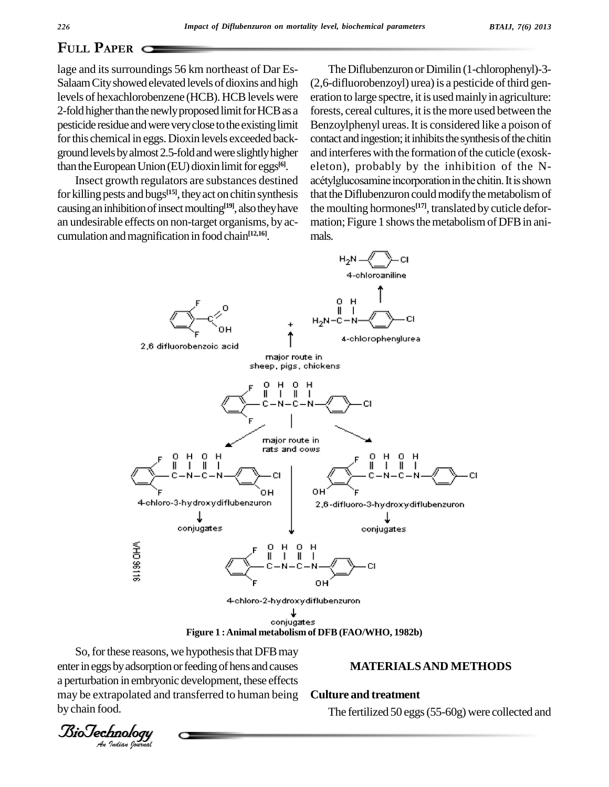# **PAPER** C

lage and its surroundings 56 km northeast of Dar Es-Salaam City showed elevated levels of dioxins and high levels of hexachlorobenzene (HCB). HCBlevels were 2-fold higher than the newly proposed limit for HCB as a pesticide residue and were very close to the existing limit for this chemical in eggs. Dioxin levels exceeded background levels by almost 2.5-fold and were slightly higher than the European Union (EU) dioxin limit for eggs<sup>[6]</sup>.

Insect growth regulators are substances destined for killing pests and bugs<sup>[15]</sup>, they act on chitin synthesis that t causing an inhibition of insect moulting<sup>[19]</sup>, also they have the mo an undesirable effects on non-target organisms, by ac cumulation and magnification in food chain<sup>[12,16]</sup>.

The Diflubenzuron or Dimilin (1-chlorophenyl)-3- $(2,6$ -difluorobenzoyl) urea) is a pesticide of third generation to large spectre, it is used mainly in agriculture: forests, cereal cultures, it is the more used between the Benzoylphenyl ureas. It is considered like a poison of contact and ingestion; it inhibits the synthesis of the chitin and interferes with the formation of the cuticle (exoskeleton), probably by the inhibition of the N acétylglucosamine incorporation in the chitin. It is shown that the Diflubenzuron could modify the metabolism of the moulting hormones **[17]**, translated by cuticle defor mation; Figure 1 shows the metabolism of DFB in animals.



**Figure 1 :Animal metabolism of DFB (FAO/WHO, 1982b)**

enter in eggs by adsorption or feeding of hens and causes So, for these reasons, we hypothesis that DFB may a perturbation in embryonic development, these effects may be extrapolated and transferred to human being enter in eggs by adsorption or feeding of hens and causes<br>a perturbation in embryonic development, these effects<br>may be extrapolated and transferred to human being **Culture and treatment**<br>by chain food. The fertilized 50 e

#### **Culture and treatment**

The fertilized 50 eggs(55-60g) were collected and

by chain food.<br>*BioTechnolog*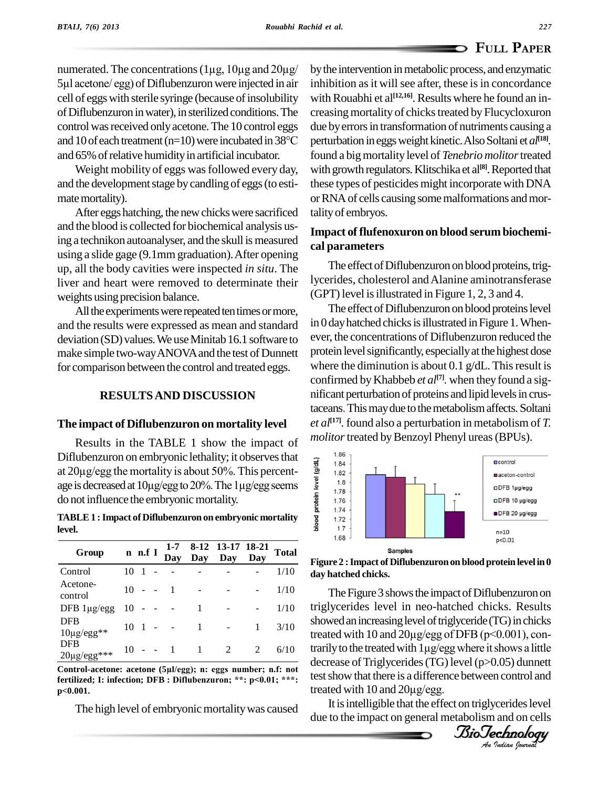numerated. The concentrations  $(1\mu g, 10\mu g$  and  $20\mu g$ / 5µl acetone/ egg) of Diflubenzuron were injected in air cell of eggs with sterile syringe (because of insolubility of Diflubenzuron in water), in sterilized conditions. The creasing n<br>control was received only acetone. The 10 control eggs due by error<br>and 10 of each treatment (n=10) were incubated in 38°C perturbation control was received only acetone. The 10 control eggs and 65% of relative humidity in artificial incubator.

Weight mobility of eggs was followed every day, and the development stage by candling of eggs (to estimate mortality).

After eggs hatching, the new chicks were sacrificed and the blood is collected for biochemical analysis using a technikon autoanalyser, and the skull is measured using a slide gage (9.1mm graduation).After opening up, all the body cavities were inspected *in situ*. The liver and heart were removed to determinate their weights using precision balance.

All the experiments were repeated ten times or more, and the results were expressed as mean and standard deviation (SD) values. We use Minitab 16.1 software to make simple two-wayANOVAand the test of Dunnett for comparison between the control and treated eggs.

#### **RESULTSAND DISCUSSION**

#### **The impact of Diflubenzuron on mortality level**

Results in the TABLE 1 show the impact of Diflubenzuron on embryonic lethality; it observes that  $\frac{1}{2}$ Results in the TABLE 1 show the impact of *mol*<br>Diflubenzuron on embryonic lethality; it observes that<br>at  $20\mu g / erg$  the mortality is about 50%. This percent-Diflubenzuron on embryonic lethality; it observes that<br>at  $20\mu g / erg$  the mortality is about 50%. This percent-<br>age is decreased at  $10\mu g / erg$  to  $20\%$ . The  $1\mu g / erg$  seems do not influence the embryonic mortality. **Diflubenzuron** on embryonic lethality; it observes that<br>at  $20\mu g / erg$  the mortality is about 50%. This percent-<br>age is decreased at  $10\mu g / erg$  to  $20\%$ . The  $1\mu g / erg$  gegms<br>do not influence the embryonic mortality.<br>**TABLE** 

| Group                                         |    | n n.f I        |        | $1 - 7$<br>Day | Day | 8-12 13-17 18-21<br>Dav | Day | <b>Total</b> |
|-----------------------------------------------|----|----------------|--------|----------------|-----|-------------------------|-----|--------------|
| Control                                       | 10 |                |        |                |     |                         |     | 1/10         |
| Acetone-<br>control                           | 10 |                |        | 1              |     |                         |     | 1/10         |
| DFB $1\mu\text{g}/\text{egg}$                 | 10 |                |        |                |     |                         |     | 1/10         |
| <b>DFB</b><br>$10\mu\text{g}/\text{egg}^{**}$ | 10 | $\blacksquare$ |        |                |     |                         | 1   | 3/10         |
| <b>DFB</b><br>$20 \mu g / egg***$             | 10 | $\sim$ $-$     | $\sim$ | $\overline{1}$ |     | 2                       | 2   | 6/10         |

**fertilized; I: infection; DFB : Diflubenzuron; \*\*: p<0.01; \*\*\*: p<0.001.**

The high level of embryonic mortality was caused

bythe intervention inmetabolic process, and enzymatic inhibition as it will see after, these is in concordance with Rouabhi et al<sup>[12,16]</sup>. Results where he found an increasing mortality of chicks treated by Flucycloxuron due by errors in transformation of nutriments causing a perturbation ineggsweight kinetic.AlsoSoltani et *al* **[18]***.* found a bigmortality level of *Tenebrio molitor*treated with growth regulators.Klitschika et al **[8]**.Reported that these types of pesticides might incorporatewith DNA or RNA of cells causing some malformations and mortalityof embryos.

### **Impact of flufenoxuron on blood serum biochemi cal parameters**

The effect of Diflubenzuron on blood proteins, triglycerides, cholesterol andAlanine aminotransferase (GPT) level is illustrated in Figure 1, 2, 3 and 4.

The effect of Diflubenzuron on blood proteins level in  $0$  day hatched chicks is illustrated in Figure 1. Whenever, the concentrations of Diflubenzuron reduced the protein level significantly, especially at the highest dose where the diminution is about 0.1  $g/dL$ . This result is confirmed byKhabbeb *et al* **[7]***.* when they found a sig nificant perturbation of proteins and lipid levels in crustaceans. This may due to the metabolism affects. Soltani *et al* **[17]***.* found also a perturbation in metabolism of *T. molitor* treated by Benzoyl Phenyl ureas (BPUs).





showed an increasing level of triglyceride (TG) in chicks decrease of Triglycerides (TG) level (p>0.05) dunnett<br>test show that there is a difference between control and<br>treated with 10 and 20µg/egg. The Figure 3 shows the impact of Diflubenzuron on triglycerides level in neo-hatched chicks. Results triglycerides level in neo-hatched chicks. Results<br>showed an increasing level of triglyceride (TG) in chicks<br>treated with 10 and 20µg/egg of DFB (p<0.001), conshowed an increasing level of triglyceride (TG) in chicks<br>treated with 10 and 20µg/egg of DFB (p<0.001), con-<br>trarily to the treated with 1µg/egg where it shows a little test show that there is a difference between control and

It is intelligible that the effect on triglycerides level due to the impact on general metabolism and on cells

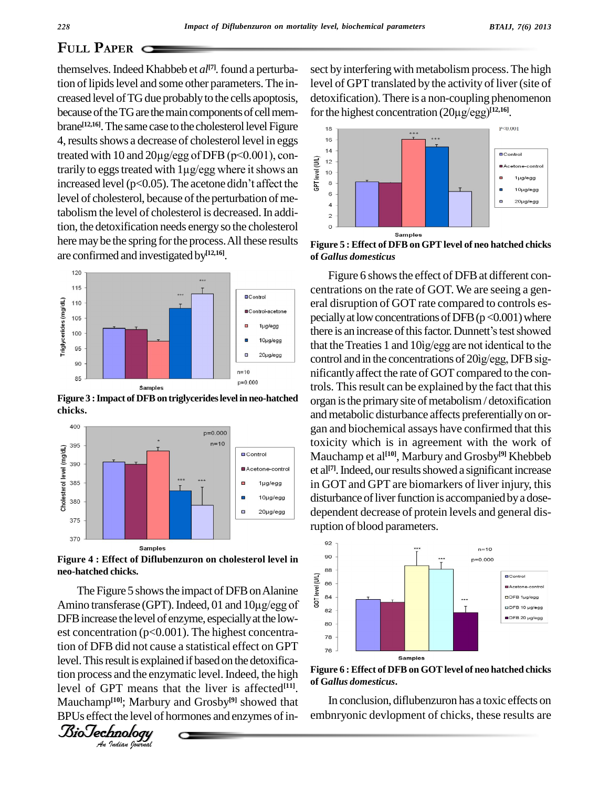## **PLILL PAPER** C

themselves.Indeed Khabbeb et *al* **[7]***.*found a perturbation of lipids level and some other parameters. The increased level of TG due probably to the cells apoptosis, because of the TG are the main components of cell membrane<sup>[12,16]</sup>. The same case to the cholesterol level Figure <sub>18</sub> 4, results shows a decrease of cholesterol level in eggs <sup>16</sup> brane<sup>[12,16</sup>]. The same case to the cholesterol level Figure<br>4, results shows a decrease of cholesterol level in eggs<br>treated with 10 and 20µg/egg of DFB (p<0.001), con-4, results shows a decrease of cholesterol level in eggs<br>treated with 10 and 20µg/egg of DFB (p<0.001), con-<br>trarily to eggs treated with 1µg/egg where it shows an<br>increased level (p<0.05). The acetone didn't affect the increased level (p<0.05). The acetone didn't affect the  $\frac{1}{6}$   $\frac{8}{6}$ level of cholesterol, because of the perturbation of metabolism the level of cholesterol is decreased.In addition, the detoxification needs energyso the cholesterol here may be the spring for the process. All these results are confirmed and investigated by **[12,16]**.



**Figure 3 :Impact of DFBontriglycerideslevel in neo-hatched chicks.**



**Figure 4 : Effect of Diflubenzuron on cholesterol level in neo-hatched chicks.**

DFB increase the level of enzyme, especially at the low-<br>est concentration ( $\approx$  0.001). The highest equation level. This result is explained if based on the detoxifica-The Figure 5 shows the impact of DFB on Alanine<br>ino transferase (GPT). Indeed, 01 and 10ug/egg of neo-hatched chicks.<br>
The Figure 5 shows the impact of DFB on Alanine<br>
Amino transferase (GPT). Indeed, 01 and 10µg/egg of  $\frac{3}{8}$ est concentration ( $p<0.001$ ). The highest concentration of DFB did not cause a statistical effect on GPT tion process and the enzymatic level. Indeed, the high level of GPT means that the liver is affected **[11]**. Mauchamp **[10]**; Marbury and Grosby **[9]** showed that BPUs effect the level of hormones and enzymes of in-



sect by interfering with metabolism process. The high level of GPT translated by the activity of liver (site of detoxification). There is a non-coupling phenomenon level of GPT translated by the activity of liver<br>detoxification). There is a non-coupling pheno<br>for the highest concentration (20µg/egg)<sup>[12,16]</sup>. for the highest concentration  $(20\mu\text{g}/\text{egg})^{[12,16]}$ .



**Figure 5 : Effect of DFBon GPTlevel of neo hatched chicks of** *Gallus domesticus*

Figure 6 shows the effect of DFB at different concentrations on the rate of GOT. We are seeing a gen eral disruption of GOT rate compared to controls especially at low concentrations of DFB (p <0.001) where there is an increase of this factor. Dunnett's test showed pecially at low concentrations of DFB  $(p<0.001)$  where there is an increase of this factor. Dunnett's test showed<br>that the Treaties 1 and  $10$  $ig/egg$  are not identical to the control and in the concentrations of 20ig/egg, DFB significantly affect the rate of GOT compared to the controls. Thisresult can be explained by the fact that this organ is the primary site of metabolism / detoxification and metabolic disturbance affects preferentially on organ and biochemical assays have confirmed that this toxicity which is in agreement with the work of Mauchamp et al **[10]**, Marbury and Grosby **[9]** Khebbeb et al<sup>[7]</sup>. Indeed, our results showed a significant increase in GOT and GPT are biomarkers of liver injury, this disturbance of liver function is accompanied by a dosedependent decrease of protein levels and general disruption of blood parameters.



**Figure 6 : Effect of DFBon GOTlevel of neo hatched chicks of G***allus domesticus***.**

In conclusion, diflubenzuron has a toxic effects on embnryonic devlopment of chicks, these results are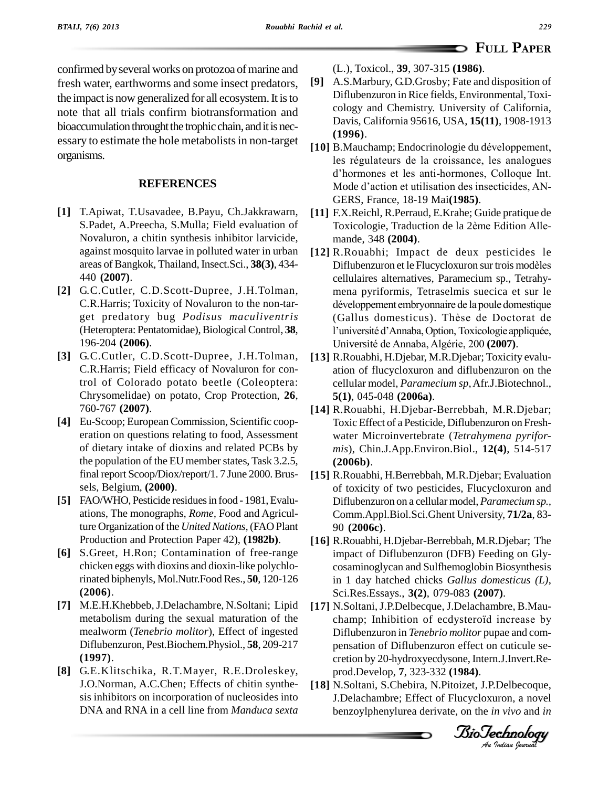# **PAPER**

confirmed by several works on protozoa of marine and fresh water, earthworms and some insect predators, the impact is now generalized for all ecosystem. It is to note that all trials confirm biotransformation and bioaccumulation throught the trophic chain, and it is necessary to estimate the hole metabolists in non-target organisms.

#### **REFERENCES**

- **[1]** T.Apiwat, T.Usavadee, B.Payu, Ch.Jakkrawarn, S.Padet, A.Preecha, S.Mulla; Field evaluation of Novaluron, a chitin synthesis inhibitor larvicide, against mosquito larvae in polluted water in urban areas of Bangkok, Thailand, Insect.Sci., **38(3)**, 434- 440 **(2007)**.
- **[2]** G.C.Cutler, C.D.Scott-Dupree, J.H.Tolman, C.R.Harris; Toxicity of Novaluron to the non-tar get predatory bug *Podisus maculiventris* (Heteroptera: Pentatomidae),Biological Control, **38**, 196-204 **(2006)**.
- **[3]** G.C.Cutler, C.D.Scott-Dupree, J.H.Tolman, C.R.Harris; Field efficacy of Novaluron for control of Colorado potato beetle (Coleoptera: Chrysomelidae) on potato, Crop Protection, **26**, 760-767 **(2007)**.
- **[4]** Eu-Scoop; European Commission, Scientific coop eration on questions relating to food, Assessment of dietary intake of dioxins and related PCBs by the population of the EU member states, Task 3.2.5, final report Scoop/Diox/report/1. 7 June 2000.Brus sels, Belgium, **(2000)**.
- **[5]** FAO/WHO, Pesticide residuesin food 1981,Evalu ations, The monographs, *Rome,* Food and Agriculture Organization of the *United Nations*, (FAO Plant Production and Protection Paper 42), **(1982b)**.
- [6] S.Greet, H.Ron; Contamination of free-range chicken eggs with dioxins and dioxin-like polychlorinated biphenyls, Mol.Nutr.Food Res., **50**, 120-126 **(2006)**.
- **[7]** M.E.H.Khebbeb,J.Delachambre, N.Soltani; Lipid metabolism during the sexual maturation of the mealworm (*Tenebrio molitor*), Effect of ingested Diflubenzuron, Pest.Biochem.Physiol., **58**, 209-217 **(1997)**.
- **[8]** G.E.Klitschika, R.T.Mayer, R.E.Droleskey, J.O.Norman, A.C.Chen; Effects of chitin synthe sis inhibitors on incorporation of nucleosides into DNA and RNA in a cell line from *Manduca sexta*

(L.), Toxicol., **39**, 307-315 **(1986)**.

- **[9]** A.S.Marbury, G.D.Grosby; Fate and disposition of Diflubenzuron in Rice fields, Environmental,Toxi cology and Chemistry. University of California, Davis, California 95616, USA, **15(11)**, 1908-1913 **(1996)**. Davis, California 95616, USA, **15(11**), 1908-1913<br>(**1996**).<br>**[10]** B.Mauchamp; Endocrinologie du développement,
- (**1996**).<br>B.Mauchamp; Endocrinologie du développement,<br>les régulateurs de la croissance, les analogues B.Mauchamp; Endocrinologie du développement,<br>les régulateurs de la croissance, les analogues<br>d'hormones et les anti-hormones, Colloque Int. les régulateurs de la croissance, les analogues<br>d'hormones et les anti-hormones, Colloque Int.<br>Mode d'action et utilisation des insecticides, AN-GERS, France, 18-19 Mai**(1985)**.
- **[11]** F.X.Reichl, R.Perraud, E.Krahe; Guide pratique de GERS, France, 18-19 Mai(**1985**).<br>F.X.Reichl, R.Perraud, E.Krahe; Guide pratique de<br>Toxicologie, Traduction de la 2ème Edition Allemande, 348 **(2004)**.
- **[12]** R.Rouabhi; Impact de deux pesticides le mande, 348 (**2004**).<br>R.Rouabhi; Impact de deux pesticides le<br>Diflubenzuron et le Flucycloxuron sur trois modèles cellulaires alternatives, Paramecium sp., Tetrahy-<br>mena pyriformis, Tetraselmis suecica et sur le<br>développement embryonnaire de la poule domestique mena pyriformis, Tetraselmis suecica et sur le mena pyriformis, Tetraselmis suecica et sur le<br>développement embryonnaire de la poule domestique<br>(Gallus domesticus). Thèse de Doctorat de développement embryonnaire de la poule domestique<br>(Gallus domesticus). Thèse de Doctorat de<br>l'université d'Annaba, Option, Toxicologie appliquée, (Gallus domesticus). Thèse de Doctorat de l'université d'Annaba, Option, Toxicologie appliquée, Université de Annaba, Algérie, 200 (2007).
- **[13]** R.Rouabhi, H.Djebar, M.R.Djebar; Toxicity evalu ation of flucycloxuron and diflubenzuron on the cellular model, *Paramecium sp*,Afr.J.Biotechnol., **5(1)**, 045-048 **(2006a)**.
- **[14]** R.Rouabhi, H.Djebar-Berrebbah, M.R.Djebar; Toxic Effect of a Pesticide, Diflubenzuron on Fresh water Microinvertebrate (*Tetrahymena pyrifor mis*), Chin.J.App.Environ.Biol., **12(4)**, 514-517 **(2006b)**.
- **[15]** R.Rouabhi, H.Berrebbah, M.R.Djebar; Evaluation of toxicity of two pesticides, Flucycloxuron and Diflubenzuron on a cellular model,*Paramecium sp.,* Comm.Appl.Biol.Sci.Ghent University, **71/2a**, 83- 90 **(2006c)**.
- **[16]** R.Rouabhi, H.Djebar-Berrebbah, M.R.Djebar; The impact of Diflubenzuron (DFB) Feeding on Gly cosaminoglycan and Sulfhemoglobin Biosynthesis in 1 day hatched chicks *Gallus domesticus (L)*, Sci.Res.Essays., **3(2)**, 079-083 **(2007)**.
- Sci.Res.Essays., 3(2), 079-083 (2007).<br>N.Soltani, J.P.Delbecque, J.Delachambre, B.Mau-<br>champ; Inhibition of ecdysteroïd increase by<br>Difluberation in *Teuchric malitar* nume and som *An*cretion by 20-hydroxyecdysone,Intern.J.Invert.Re- **[17]** N.Soltani,J.P.Delbecque, J.Delachambre, B.Mau- Diflubenzuron in *Tenebrio molitor* pupae and com pensation of Diflubenzuron effect on cuticule se prod.Develop, **7**, 323-332 **(1984)**.
- **[18]** N.Soltani, S.Chebira, N.Pitoizet, J.P.Delbecoque, J.Delachambre; Effect of Flucycloxuron, a novel benzoylphenylurea derivate, on the *in vivo* and *in*

*Indian Journal*